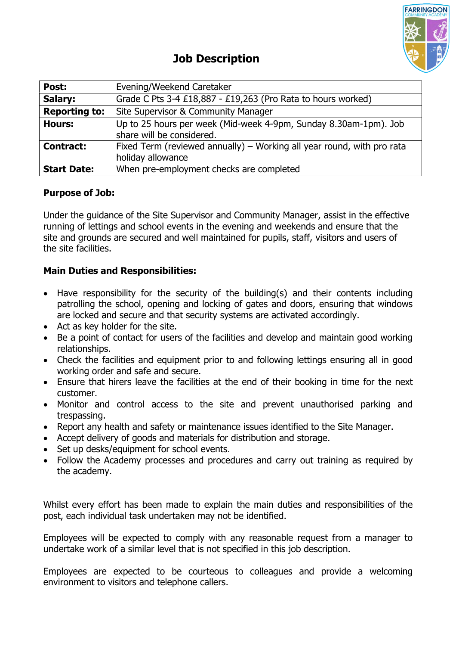

| Post:                | Evening/Weekend Caretaker                                              |
|----------------------|------------------------------------------------------------------------|
| Salary:              | Grade C Pts 3-4 £18,887 - £19,263 (Pro Rata to hours worked)           |
| <b>Reporting to:</b> | Site Supervisor & Community Manager                                    |
| <b>Hours:</b>        | Up to 25 hours per week (Mid-week 4-9pm, Sunday 8.30am-1pm). Job       |
|                      | share will be considered.                                              |
| <b>Contract:</b>     | Fixed Term (reviewed annually) – Working all year round, with pro rata |
|                      | holiday allowance                                                      |
| <b>Start Date:</b>   | When pre-employment checks are completed                               |

## **Purpose of Job:**

Under the guidance of the Site Supervisor and Community Manager, assist in the effective running of lettings and school events in the evening and weekends and ensure that the site and grounds are secured and well maintained for pupils, staff, visitors and users of the site facilities.

## **Main Duties and Responsibilities:**

- Have responsibility for the security of the building(s) and their contents including patrolling the school, opening and locking of gates and doors, ensuring that windows are locked and secure and that security systems are activated accordingly.
- Act as key holder for the site.
- Be a point of contact for users of the facilities and develop and maintain good working relationships.
- Check the facilities and equipment prior to and following lettings ensuring all in good working order and safe and secure.
- Ensure that hirers leave the facilities at the end of their booking in time for the next customer.
- Monitor and control access to the site and prevent unauthorised parking and trespassing.
- Report any health and safety or maintenance issues identified to the Site Manager.
- Accept delivery of goods and materials for distribution and storage.
- Set up desks/equipment for school events.
- Follow the Academy processes and procedures and carry out training as required by the academy.

Whilst every effort has been made to explain the main duties and responsibilities of the post, each individual task undertaken may not be identified.

Employees will be expected to comply with any reasonable request from a manager to undertake work of a similar level that is not specified in this job description.

Employees are expected to be courteous to colleagues and provide a welcoming environment to visitors and telephone callers.